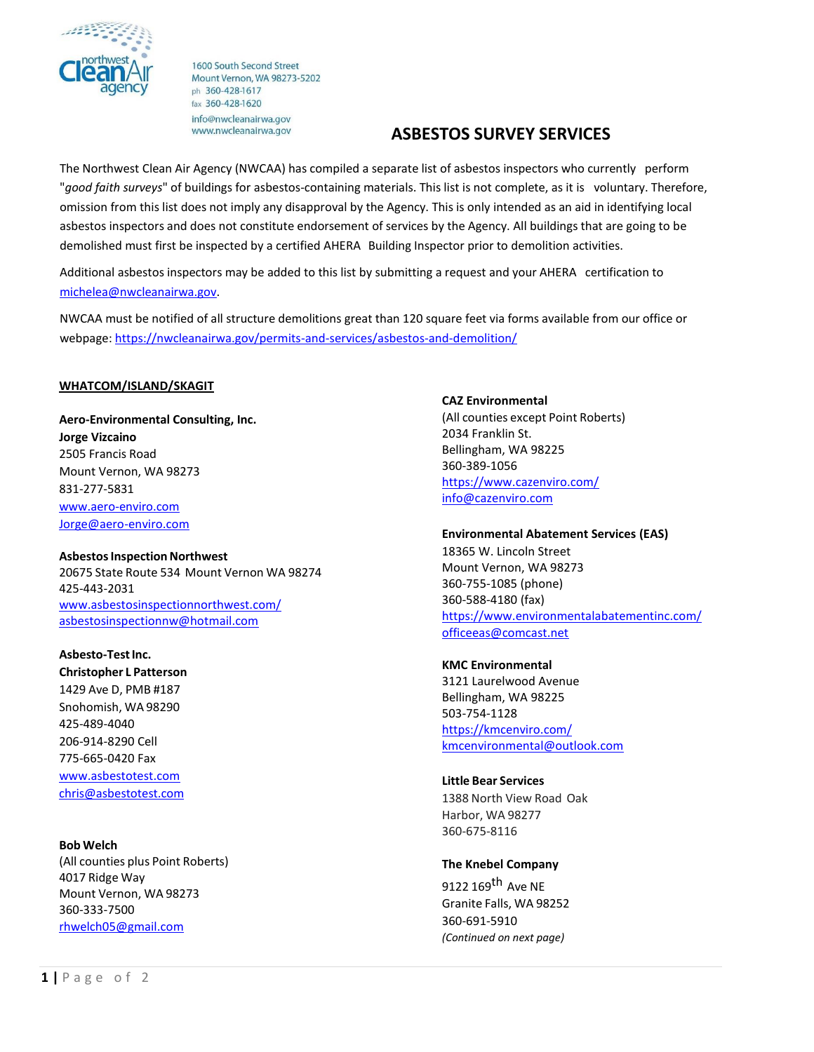

1600 South Second Street Mount Vernon, WA 98273-5202 ph 360-428-1617 fax 360-428-1620 info@nwcleanairwa.gov www.nwcleanairwa.gov

# **ASBESTOS SURVEY SERVICES**

The Northwest Clean Air Agency (NWCAA) has compiled a separate list of asbestos inspectors who currently perform "*good faith surveys*" of buildings for asbestos-containing materials. This list is not complete, as it is voluntary. Therefore, omission from this list does not imply any disapproval by the Agency. This is only intended as an aid in identifying local asbestos inspectors and does not constitute endorsement of services by the Agency. All buildings that are going to be demolished must first be inspected by a certified AHERA Building Inspector prior to demolition activities.

Additional asbestos inspectors may be added to this list by submitting a request and your AHERA certification to [michelea@nwcleanairwa.gov.](mailto:michelea@nwcleanairwa.gov)

NWCAA must be notified of all structure demolitions great than 120 square feet via forms available from our office or webpage[: https://nwcleanairwa.gov/permits-and-services/asbestos-and-demolition/](https://nwcleanairwa.gov/permits-and-services/asbestos-and-demolition/)

### **WHATCOM/ISLAND/SKAGIT**

**Aero-Environmental Consulting, Inc. Jorge Vizcaino** 2505 Francis Road Mount Vernon, WA 98273 831-277-5831 [www.aero-enviro.com](http://www.aero-enviro.com/) [Jorge@aero-enviro.com](mailto:Jorge@aero-enviro.com)

**Asbestos Inspection Northwest** 20675 State Route 534 Mount Vernon WA 98274 425-443-2031 [www.asbestosinspectionnorthwest.com/](http://www.asbestosinspectionnorthwest.com/) [asbestosinspectionnw@hotmail.com](mailto:asbestosinspectionnw@hotmail.com)

**Asbesto-Test Inc. Christopher L Patterson** 1429 Ave D, PMB #187 Snohomish, WA 98290 425-489-4040 206-914-8290 Cell 775-665-0420 Fax [www.asbestotest.com](http://www.asbestotest.com/) [chris@asbestotest.com](mailto:chris@asbestotest.com)

#### **Bob Welch**

(All counties plus Point Roberts) 4017 Ridge Way Mount Vernon, WA 98273 360-333-7500 [rhwelch05@gmail.com](mailto:rhwelch05@gmail.com)

**CAZ Environmental** (All counties except Point Roberts) 2034 Franklin St. Bellingham, WA 98225 360-389-1056 <https://www.cazenviro.com/> [info@cazenviro.com](mailto:info@cazenviro.com)

**Environmental Abatement Services (EAS)** 

18365 W. Lincoln Street Mount Vernon, WA 98273 360-755-1085 (phone) 360-588-4180 (fax) <https://www.environmentalabatementinc.com/> [officeeas@comcast.net](mailto:officeeas@comcast.net)

**KMC Environmental** 3121 Laurelwood Avenue

Bellingham, WA 98225 503-754-1128 <https://kmcenviro.com/> [kmcenvironmental@outlook.com](mailto:kmcenvironmental@outlook.com)

#### **Little Bear Services**

1388 North View Road Oak Harbor, WA 98277 360-675-8116

#### **The Knebel Company**

9122 169<sup>th</sup> Ave NE Granite Falls, WA 98252 360-691-5910 *(Continued on next page)*